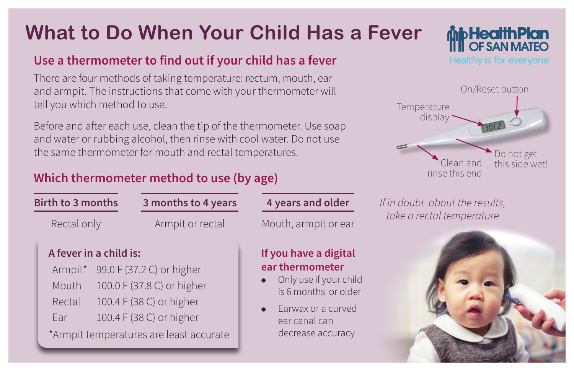# **What to Do When Your Child Has a Fever**

### **Use a thermometer to find out if your child has a fever**

There are four methods of taking temperature: rectum, mouth, ear and armpit. The instructions that come with your thermometer will tell you which method to use.

Before and after each use, clean the tip of the thermometer. Use soap and water or rubbing alcohol, then rinse with cool water. Do not use the same thermometer for mouth and rectal temperatures.

## **Which thermometer method to use (by age)**

| <b>Birth to 3 months</b>                                    |  | 3 months to 4 years                                                                                                                                        | 4 years and older                                                                                                                                      |
|-------------------------------------------------------------|--|------------------------------------------------------------------------------------------------------------------------------------------------------------|--------------------------------------------------------------------------------------------------------------------------------------------------------|
| Rectal only                                                 |  | Armpit or rectal                                                                                                                                           | Mouth, armpit or ear                                                                                                                                   |
| A fever in a child is:<br>Armpit*<br>Mouth<br>Rectal<br>Ear |  | 99.0 F (37.2 C) or higher<br>100.0 F (37.8 C) or higher<br>100.4 F (38 C) or higher<br>100.4 F (38 C) or higher<br>*Armpit temperatures are least accurate | If you have a digital<br>ear thermometer<br>Only use if your child<br>is 6 months or older<br>Earwax or a curved<br>ear canal can<br>decrease accuracy |





**is and older** *If in doubt about the results, take a rectal temperature*